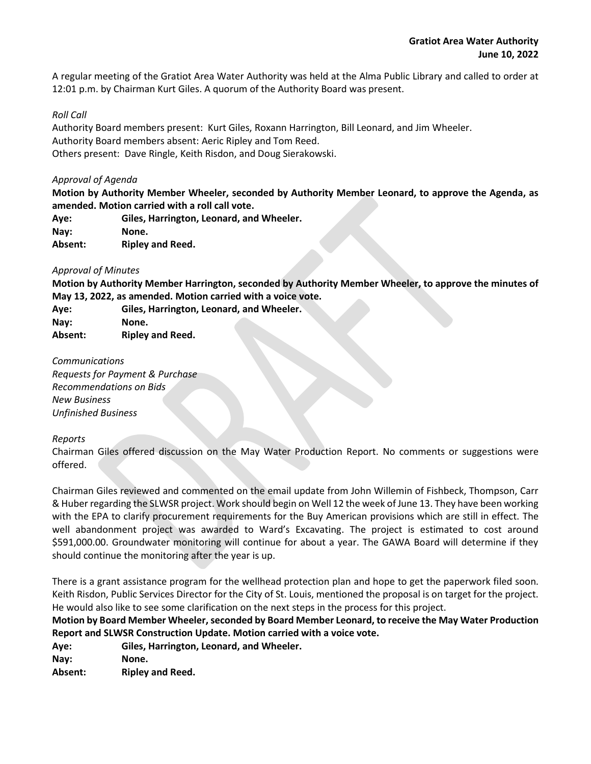A regular meeting of the Gratiot Area Water Authority was held at the Alma Public Library and called to order at 12:01 p.m. by Chairman Kurt Giles. A quorum of the Authority Board was present.

# *Roll Call*

Authority Board members present: Kurt Giles, Roxann Harrington, Bill Leonard, and Jim Wheeler. Authority Board members absent: Aeric Ripley and Tom Reed. Others present: Dave Ringle, Keith Risdon, and Doug Sierakowski.

### *Approval of Agenda*

**Motion by Authority Member Wheeler, seconded by Authority Member Leonard, to approve the Agenda, as amended. Motion carried with a roll call vote.** 

- **Aye: Giles, Harrington, Leonard, and Wheeler.**
- **Nay: None.**
- **Absent: Ripley and Reed.**

# *Approval of Minutes*

**Motion by Authority Member Harrington, seconded by Authority Member Wheeler, to approve the minutes of May 13, 2022, as amended. Motion carried with a voice vote.**

| Aye:    | Giles, Harrington, Leonard, and Wheeler. |
|---------|------------------------------------------|
| Nav:    | None.                                    |
| Absent: | <b>Ripley and Reed.</b>                  |

*Communications*

*Requests for Payment & Purchase Recommendations on Bids New Business Unfinished Business*

#### *Reports*

Chairman Giles offered discussion on the May Water Production Report. No comments or suggestions were offered.

Chairman Giles reviewed and commented on the email update from John Willemin of Fishbeck, Thompson, Carr & Huber regarding the SLWSR project. Work should begin on Well 12 the week of June 13. They have been working with the EPA to clarify procurement requirements for the Buy American provisions which are still in effect. The well abandonment project was awarded to Ward's Excavating. The project is estimated to cost around \$591,000.00. Groundwater monitoring will continue for about a year. The GAWA Board will determine if they should continue the monitoring after the year is up.

There is a grant assistance program for the wellhead protection plan and hope to get the paperwork filed soon. Keith Risdon, Public Services Director for the City of St. Louis, mentioned the proposal is on target for the project. He would also like to see some clarification on the next steps in the process for this project.

**Motion by Board Member Wheeler, seconded by Board Member Leonard, to receive the May Water Production Report and SLWSR Construction Update. Motion carried with a voice vote.**

**Aye: Giles, Harrington, Leonard, and Wheeler.**

**Nay: None.**

**Absent: Ripley and Reed.**